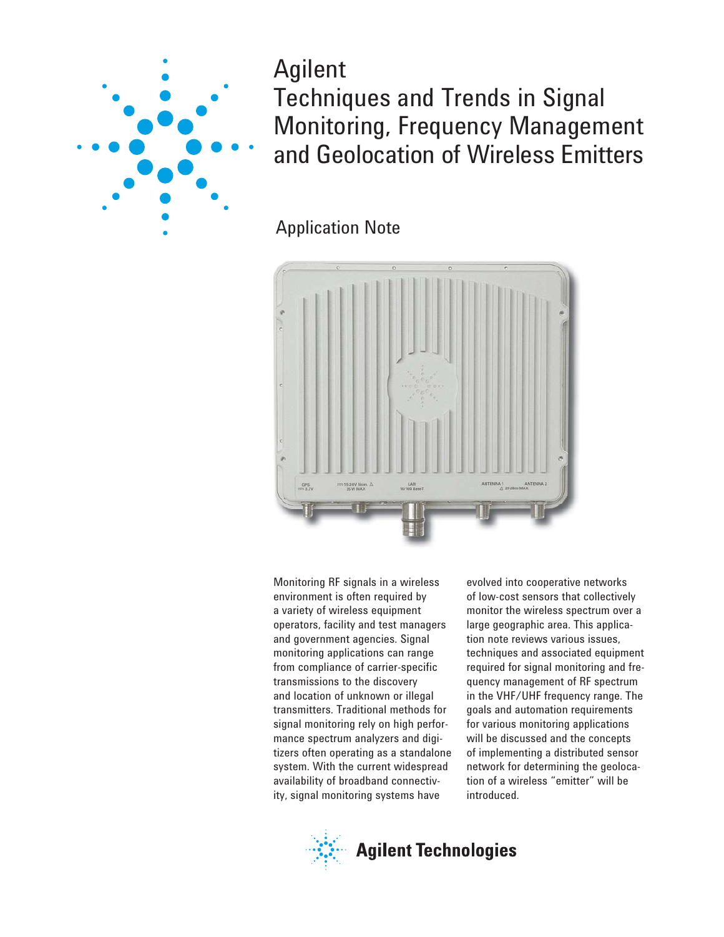

Agilent Techniques and Trends in Signal Monitoring, Frequency Management and Geolocation of Wireless Emitters

Application Note



Monitoring RF signals in a wireless environment is often required by a variety of wireless equipment operators, facility and test managers and government agencies. Signal monitoring applications can range from compliance of carrier-specific transmissions to the discovery and location of unknown or illegal transmitters. Traditional methods for signal monitoring rely on high performance spectrum analyzers and digitizers often operating as a standalone system. With the current widespread availability of broadband connectivity, signal monitoring systems have

evolved into cooperative networks of low-cost sensors that collectively monitor the wireless spectrum over a large geographic area. This application note reviews various issues, techniques and associated equipment required for signal monitoring and frequency management of RF spectrum in the VHF/UHF frequency range. The goals and automation requirements for various monitoring applications will be discussed and the concepts of implementing a distributed sensor network for determining the geolocation of a wireless "emitter" will be introduced.

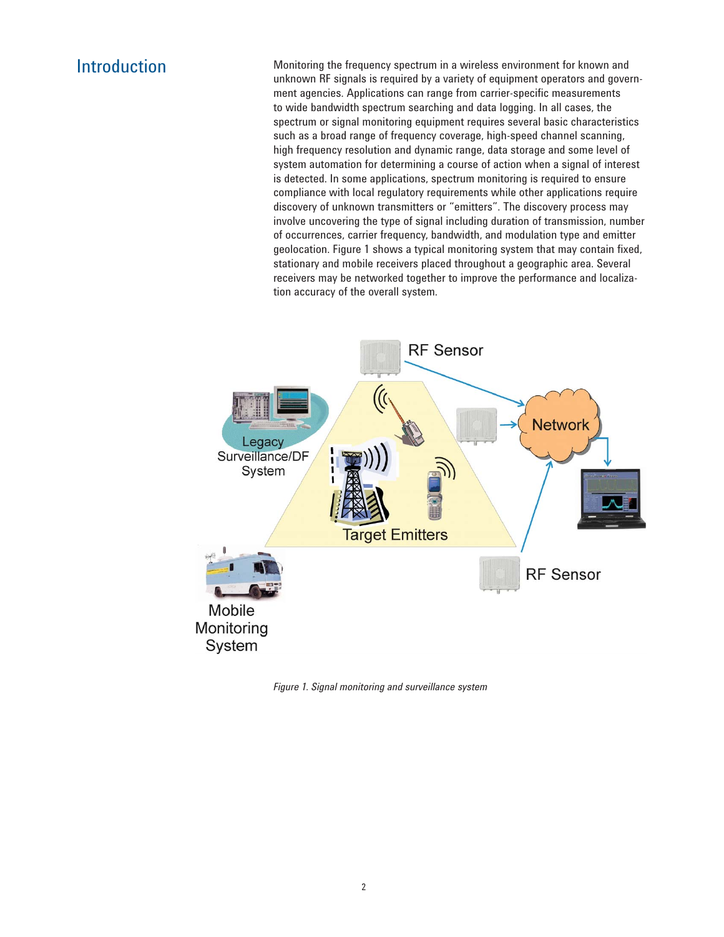Introduction Monitoring the frequency spectrum in a wireless environment for known and unknown RF signals is required by a variety of equipment operators and government agencies. Applications can range from carrier-specific measurements to wide bandwidth spectrum searching and data logging. In all cases, the spectrum or signal monitoring equipment requires several basic characteristics such as a broad range of frequency coverage, high-speed channel scanning, high frequency resolution and dynamic range, data storage and some level of system automation for determining a course of action when a signal of interest is detected. In some applications, spectrum monitoring is required to ensure compliance with local regulatory requirements while other applications require discovery of unknown transmitters or "emitters". The discovery process may involve uncovering the type of signal including duration of transmission, number of occurrences, carrier frequency, bandwidth, and modulation type and emitter geolocation. Figure 1 shows a typical monitoring system that may contain fixed, stationary and mobile receivers placed throughout a geographic area. Several receivers may be networked together to improve the performance and localization accuracy of the overall system.



*Figure 1. Signal monitoring and surveillance system*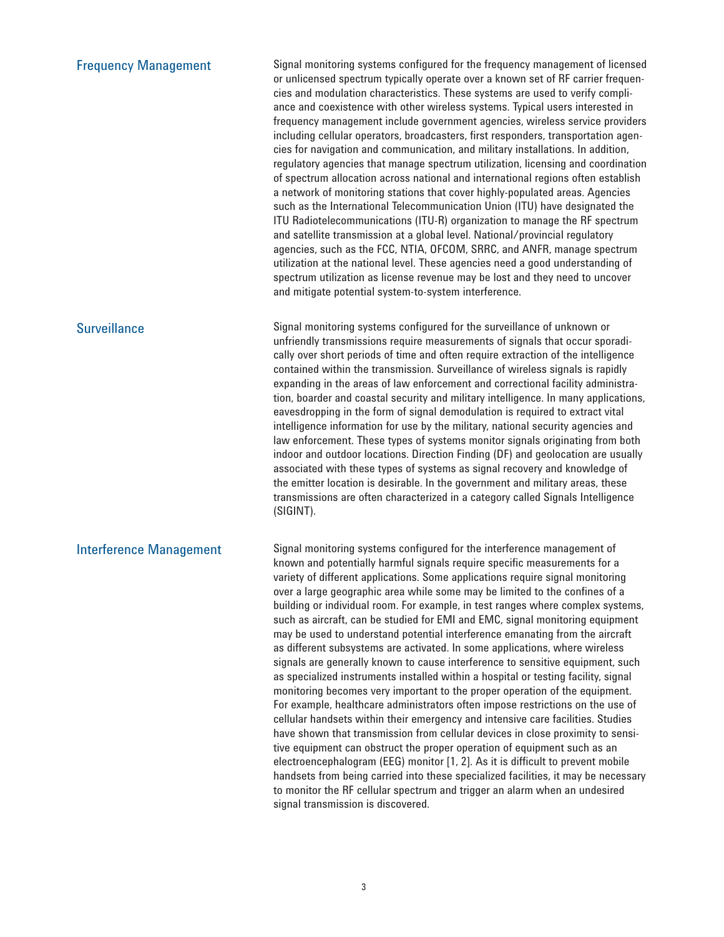| <b>Frequency Management</b>    | Signal monitoring systems configured for the frequency management of licensed<br>or unlicensed spectrum typically operate over a known set of RF carrier frequen-<br>cies and modulation characteristics. These systems are used to verify compli-<br>ance and coexistence with other wireless systems. Typical users interested in<br>frequency management include government agencies, wireless service providers<br>including cellular operators, broadcasters, first responders, transportation agen-<br>cies for navigation and communication, and military installations. In addition,<br>regulatory agencies that manage spectrum utilization, licensing and coordination<br>of spectrum allocation across national and international regions often establish<br>a network of monitoring stations that cover highly-populated areas. Agencies<br>such as the International Telecommunication Union (ITU) have designated the<br>ITU Radiotelecommunications (ITU-R) organization to manage the RF spectrum<br>and satellite transmission at a global level. National/provincial regulatory<br>agencies, such as the FCC, NTIA, OFCOM, SRRC, and ANFR, manage spectrum<br>utilization at the national level. These agencies need a good understanding of<br>spectrum utilization as license revenue may be lost and they need to uncover<br>and mitigate potential system-to-system interference.                                                                                                    |
|--------------------------------|------------------------------------------------------------------------------------------------------------------------------------------------------------------------------------------------------------------------------------------------------------------------------------------------------------------------------------------------------------------------------------------------------------------------------------------------------------------------------------------------------------------------------------------------------------------------------------------------------------------------------------------------------------------------------------------------------------------------------------------------------------------------------------------------------------------------------------------------------------------------------------------------------------------------------------------------------------------------------------------------------------------------------------------------------------------------------------------------------------------------------------------------------------------------------------------------------------------------------------------------------------------------------------------------------------------------------------------------------------------------------------------------------------------------------------------------------------------------------------------------------------|
| <b>Surveillance</b>            | Signal monitoring systems configured for the surveillance of unknown or<br>unfriendly transmissions require measurements of signals that occur sporadi-<br>cally over short periods of time and often require extraction of the intelligence<br>contained within the transmission. Surveillance of wireless signals is rapidly<br>expanding in the areas of law enforcement and correctional facility administra-<br>tion, boarder and coastal security and military intelligence. In many applications,<br>eavesdropping in the form of signal demodulation is required to extract vital<br>intelligence information for use by the military, national security agencies and<br>law enforcement. These types of systems monitor signals originating from both<br>indoor and outdoor locations. Direction Finding (DF) and geolocation are usually<br>associated with these types of systems as signal recovery and knowledge of<br>the emitter location is desirable. In the government and military areas, these<br>transmissions are often characterized in a category called Signals Intelligence<br>(SIGINT).                                                                                                                                                                                                                                                                                                                                                                                         |
| <b>Interference Management</b> | Signal monitoring systems configured for the interference management of<br>known and potentially harmful signals require specific measurements for a<br>variety of different applications. Some applications require signal monitoring<br>over a large geographic area while some may be limited to the confines of a<br>building or individual room. For example, in test ranges where complex systems,<br>such as aircraft, can be studied for EMI and EMC, signal monitoring equipment<br>may be used to understand potential interference emanating from the aircraft<br>as different subsystems are activated. In some applications, where wireless<br>signals are generally known to cause interference to sensitive equipment, such<br>as specialized instruments installed within a hospital or testing facility, signal<br>monitoring becomes very important to the proper operation of the equipment.<br>For example, healthcare administrators often impose restrictions on the use of<br>cellular handsets within their emergency and intensive care facilities. Studies<br>have shown that transmission from cellular devices in close proximity to sensi-<br>tive equipment can obstruct the proper operation of equipment such as an<br>electroencephalogram (EEG) monitor [1, 2]. As it is difficult to prevent mobile<br>handsets from being carried into these specialized facilities, it may be necessary<br>to monitor the RF cellular spectrum and trigger an alarm when an undesired |

signal transmission is discovered.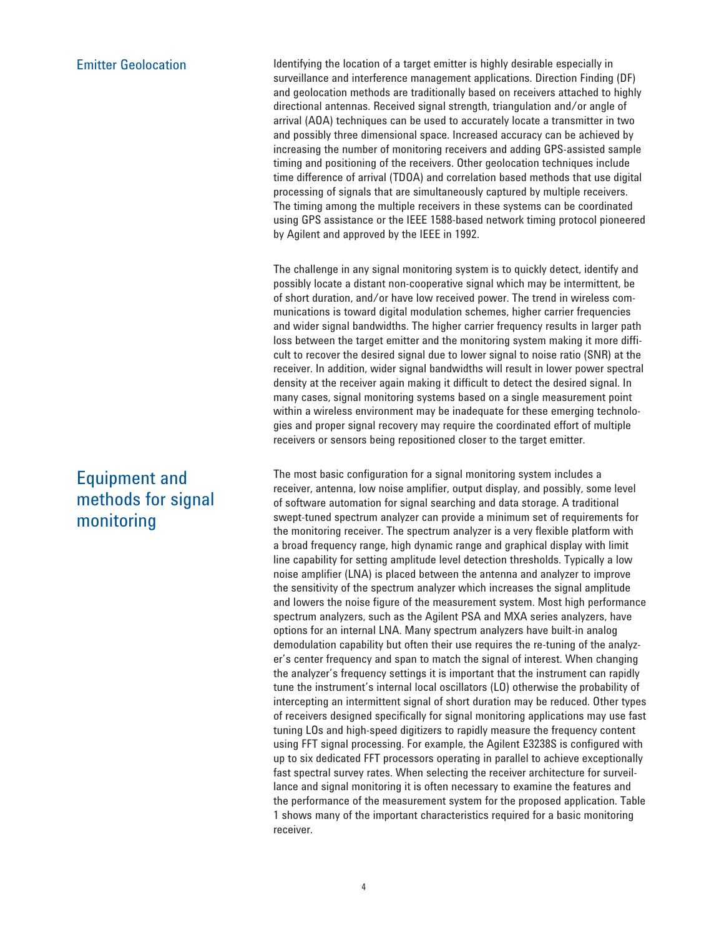## Emitter Geolocation

Identifying the location of a target emitter is highly desirable especially in surveillance and interference management applications. Direction Finding (DF) and geolocation methods are traditionally based on receivers attached to highly directional antennas. Received signal strength, triangulation and/or angle of arrival (AOA) techniques can be used to accurately locate a transmitter in two and possibly three dimensional space. Increased accuracy can be achieved by increasing the number of monitoring receivers and adding GPS-assisted sample timing and positioning of the receivers. Other geolocation techniques include time difference of arrival (TDOA) and correlation based methods that use digital processing of signals that are simultaneously captured by multiple receivers. The timing among the multiple receivers in these systems can be coordinated using GPS assistance or the IEEE 1588-based network timing protocol pioneered by Agilent and approved by the IEEE in 1992.

The challenge in any signal monitoring system is to quickly detect, identify and possibly locate a distant non-cooperative signal which may be intermittent, be of short duration, and/or have low received power. The trend in wireless communications is toward digital modulation schemes, higher carrier frequencies and wider signal bandwidths. The higher carrier frequency results in larger path loss between the target emitter and the monitoring system making it more difficult to recover the desired signal due to lower signal to noise ratio (SNR) at the receiver. In addition, wider signal bandwidths will result in lower power spectral density at the receiver again making it difficult to detect the desired signal. In many cases, signal monitoring systems based on a single measurement point within a wireless environment may be inadequate for these emerging technologies and proper signal recovery may require the coordinated effort of multiple receivers or sensors being repositioned closer to the target emitter.

The most basic configuration for a signal monitoring system includes a receiver, antenna, low noise amplifier, output display, and possibly, some level of software automation for signal searching and data storage. A traditional swept-tuned spectrum analyzer can provide a minimum set of requirements for the monitoring receiver. The spectrum analyzer is a very flexible platform with a broad frequency range, high dynamic range and graphical display with limit line capability for setting amplitude level detection thresholds. Typically a low noise amplifier (LNA) is placed between the antenna and analyzer to improve the sensitivity of the spectrum analyzer which increases the signal amplitude and lowers the noise figure of the measurement system. Most high performance spectrum analyzers, such as the Agilent PSA and MXA series analyzers, have options for an internal LNA. Many spectrum analyzers have built-in analog demodulation capability but often their use requires the re-tuning of the analyzer's center frequency and span to match the signal of interest. When changing the analyzer's frequency settings it is important that the instrument can rapidly tune the instrument's internal local oscillators (LO) otherwise the probability of intercepting an intermittent signal of short duration may be reduced. Other types of receivers designed specifically for signal monitoring applications may use fast tuning LOs and high-speed digitizers to rapidly measure the frequency content using FFT signal processing. For example, the Agilent E3238S is configured with up to six dedicated FFT processors operating in parallel to achieve exceptionally fast spectral survey rates. When selecting the receiver architecture for surveillance and signal monitoring it is often necessary to examine the features and the performance of the measurement system for the proposed application. Table 1 shows many of the important characteristics required for a basic monitoring receiver.

Equipment and methods for signal monitoring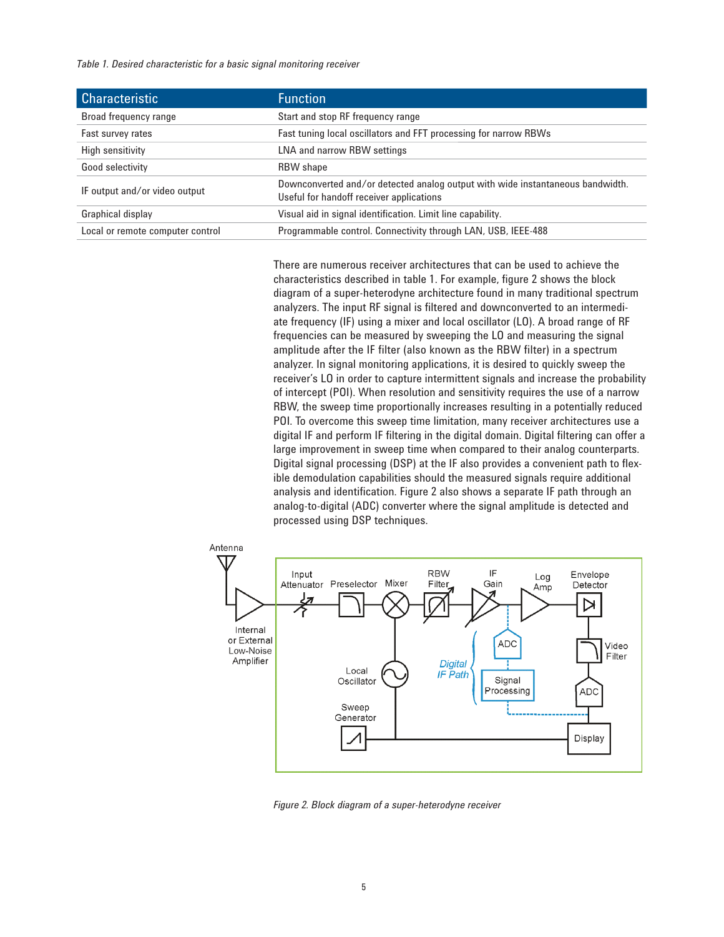*Table 1. Desired characteristic for a basic signal monitoring receiver*

| <b>Characteristic</b>            | <b>Function</b>                                                                                                            |
|----------------------------------|----------------------------------------------------------------------------------------------------------------------------|
| Broad frequency range            | Start and stop RF frequency range                                                                                          |
| Fast survey rates                | Fast tuning local oscillators and FFT processing for narrow RBWs                                                           |
| High sensitivity                 | LNA and narrow RBW settings                                                                                                |
| Good selectivity                 | <b>RBW</b> shape                                                                                                           |
| IF output and/or video output    | Downconverted and/or detected analog output with wide instantaneous bandwidth.<br>Useful for handoff receiver applications |
| Graphical display                | Visual aid in signal identification. Limit line capability.                                                                |
| Local or remote computer control | Programmable control. Connectivity through LAN, USB, IEEE-488                                                              |

There are numerous receiver architectures that can be used to achieve the characteristics described in table 1. For example, figure 2 shows the block diagram of a super-heterodyne architecture found in many traditional spectrum analyzers. The input RF signal is filtered and downconverted to an intermediate frequency (IF) using a mixer and local oscillator (LO). A broad range of RF frequencies can be measured by sweeping the LO and measuring the signal amplitude after the IF filter (also known as the RBW filter) in a spectrum analyzer. In signal monitoring applications, it is desired to quickly sweep the receiver's LO in order to capture intermittent signals and increase the probability of intercept (POI). When resolution and sensitivity requires the use of a narrow RBW, the sweep time proportionally increases resulting in a potentially reduced POI. To overcome this sweep time limitation, many receiver architectures use a digital IF and perform IF filtering in the digital domain. Digital filtering can offer a large improvement in sweep time when compared to their analog counterparts. Digital signal processing (DSP) at the IF also provides a convenient path to flexible demodulation capabilities should the measured signals require additional analysis and identification. Figure 2 also shows a separate IF path through an analog-to-digital (ADC) converter where the signal amplitude is detected and processed using DSP techniques.



*Figure 2. Block diagram of a super-heterodyne receiver*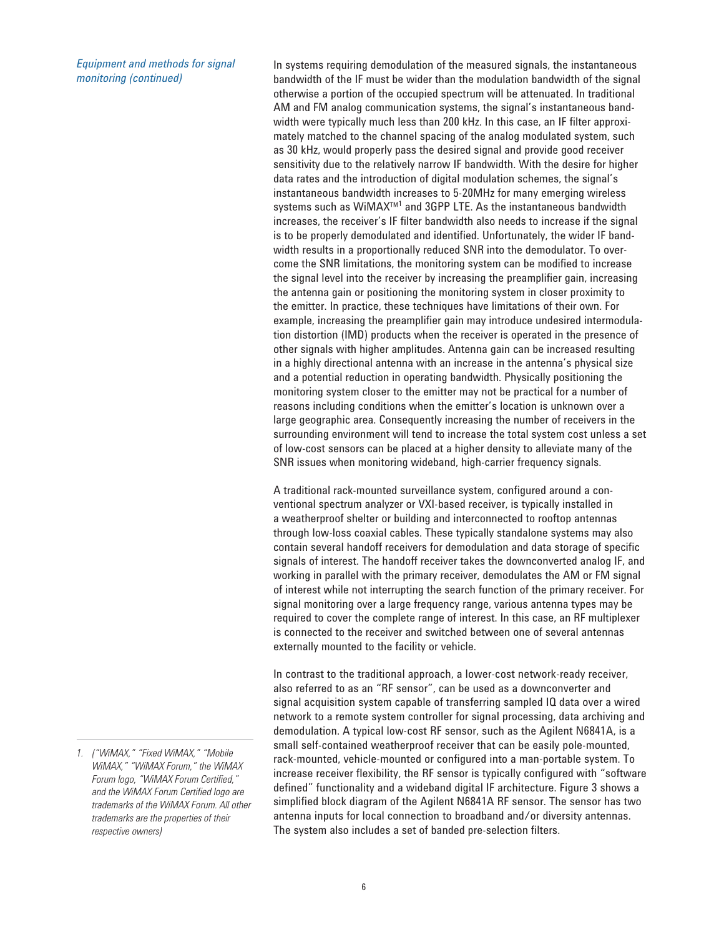*Equipment and methods for signal monitoring (continued)*

In systems requiring demodulation of the measured signals, the instantaneous bandwidth of the IF must be wider than the modulation bandwidth of the signal otherwise a portion of the occupied spectrum will be attenuated. In traditional AM and FM analog communication systems, the signal's instantaneous bandwidth were typically much less than 200 kHz. In this case, an IF filter approximately matched to the channel spacing of the analog modulated system, such as 30 kHz, would properly pass the desired signal and provide good receiver sensitivity due to the relatively narrow IF bandwidth. With the desire for higher data rates and the introduction of digital modulation schemes, the signal's instantaneous bandwidth increases to 5-20MHz for many emerging wireless systems such as WiMAX™<sup>1</sup> and 3GPP LTE. As the instantaneous bandwidth increases, the receiver's IF filter bandwidth also needs to increase if the signal is to be properly demodulated and identified. Unfortunately, the wider IF bandwidth results in a proportionally reduced SNR into the demodulator. To overcome the SNR limitations, the monitoring system can be modified to increase the signal level into the receiver by increasing the preamplifier gain, increasing the antenna gain or positioning the monitoring system in closer proximity to the emitter. In practice, these techniques have limitations of their own. For example, increasing the preamplifier gain may introduce undesired intermodulation distortion (IMD) products when the receiver is operated in the presence of other signals with higher amplitudes. Antenna gain can be increased resulting in a highly directional antenna with an increase in the antenna's physical size and a potential reduction in operating bandwidth. Physically positioning the monitoring system closer to the emitter may not be practical for a number of reasons including conditions when the emitter's location is unknown over a large geographic area. Consequently increasing the number of receivers in the surrounding environment will tend to increase the total system cost unless a set of low-cost sensors can be placed at a higher density to alleviate many of the SNR issues when monitoring wideband, high-carrier frequency signals.

A traditional rack-mounted surveillance system, configured around a conventional spectrum analyzer or VXI-based receiver, is typically installed in a weatherproof shelter or building and interconnected to rooftop antennas through low-loss coaxial cables. These typically standalone systems may also contain several handoff receivers for demodulation and data storage of specific signals of interest. The handoff receiver takes the downconverted analog IF, and working in parallel with the primary receiver, demodulates the AM or FM signal of interest while not interrupting the search function of the primary receiver. For signal monitoring over a large frequency range, various antenna types may be required to cover the complete range of interest. In this case, an RF multiplexer is connected to the receiver and switched between one of several antennas externally mounted to the facility or vehicle.

In contrast to the traditional approach, a lower-cost network-ready receiver, also referred to as an "RF sensor", can be used as a downconverter and signal acquisition system capable of transferring sampled IQ data over a wired network to a remote system controller for signal processing, data archiving and demodulation. A typical low-cost RF sensor, such as the Agilent N6841A, is a small self-contained weatherproof receiver that can be easily pole-mounted, rack-mounted, vehicle-mounted or configured into a man-portable system. To increase receiver flexibility, the RF sensor is typically configured with "software defined" functionality and a wideband digital IF architecture. Figure 3 shows a simplified block diagram of the Agilent N6841A RF sensor. The sensor has two antenna inputs for local connection to broadband and/or diversity antennas. The system also includes a set of banded pre-selection filters.

*<sup>1. (&</sup>quot;WiMAX," "Fixed WiMAX," "Mobile WiMAX," "WiMAX Forum," the WiMAX Forum logo, "WiMAX Forum Certified," and the WiMAX Forum Certified logo are trademarks of the WiMAX Forum. All other trademarks are the properties of their respective owners)*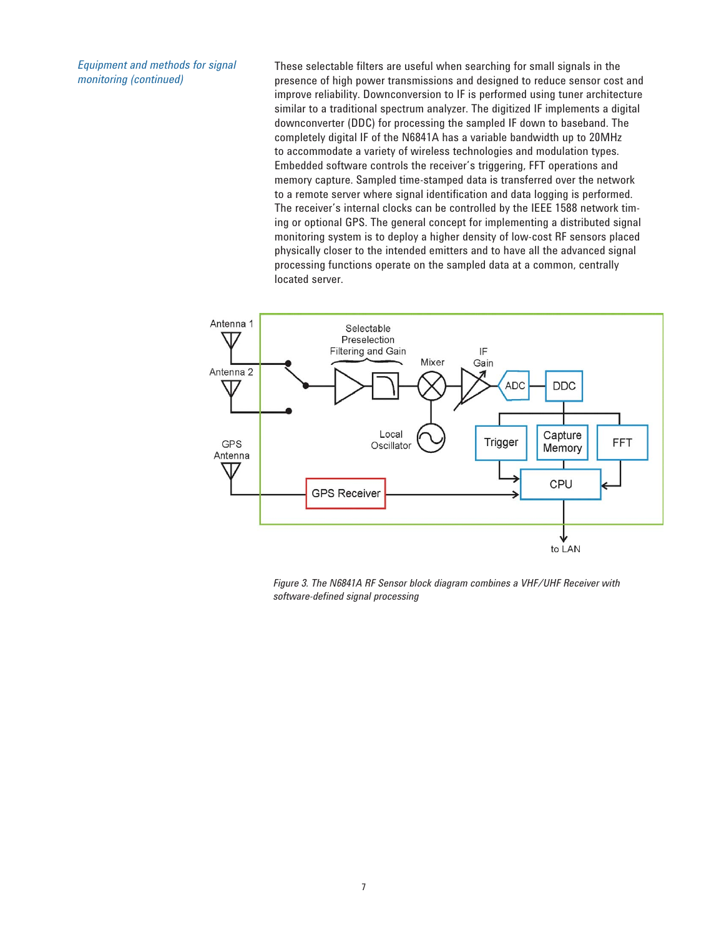*Equipment and methods for signal monitoring (continued)*

These selectable filters are useful when searching for small signals in the presence of high power transmissions and designed to reduce sensor cost and improve reliability. Downconversion to IF is performed using tuner architecture similar to a traditional spectrum analyzer. The digitized IF implements a digital downconverter (DDC) for processing the sampled IF down to baseband. The completely digital IF of the N6841A has a variable bandwidth up to 20MHz to accommodate a variety of wireless technologies and modulation types. Embedded software controls the receiver's triggering, FFT operations and memory capture. Sampled time-stamped data is transferred over the network to a remote server where signal identification and data logging is performed. The receiver's internal clocks can be controlled by the IEEE 1588 network timing or optional GPS. The general concept for implementing a distributed signal monitoring system is to deploy a higher density of low-cost RF sensors placed physically closer to the intended emitters and to have all the advanced signal processing functions operate on the sampled data at a common, centrally located server.



*Figure 3. The N6841A RF Sensor block diagram combines a VHF/UHF Receiver with software-defined signal processing*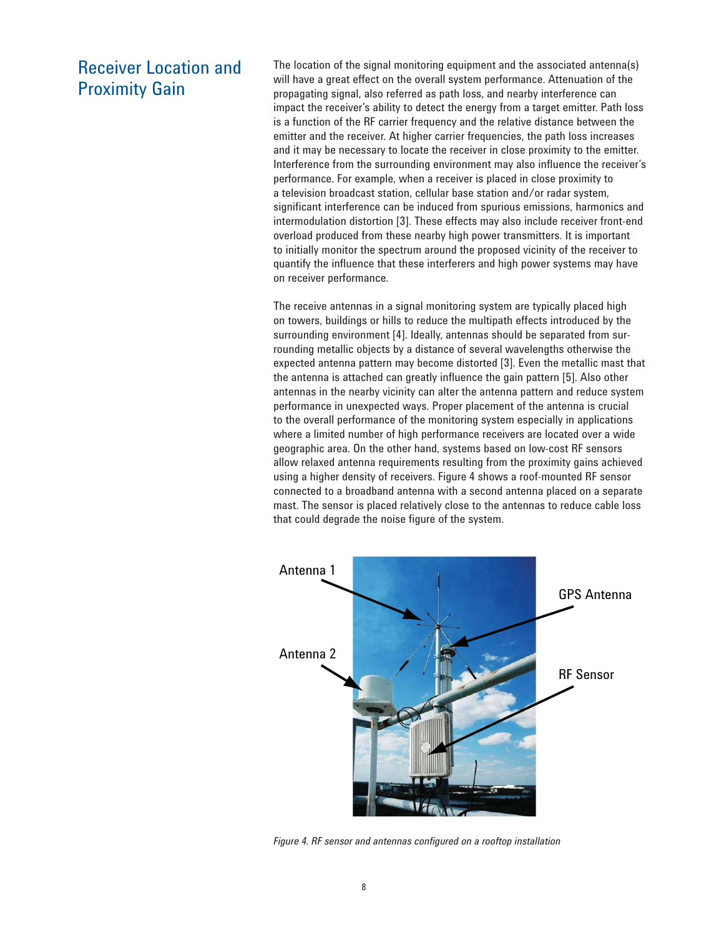# Receiver Location and Proximity Gain

The location of the signal monitoring equipment and the associated antenna(s) will have a great effect on the overall system performance. Attenuation of the propagating signal, also referred as path loss, and nearby interference can impact the receiver's ability to detect the energy from a target emitter. Path loss is a function of the RF carrier frequency and the relative distance between the emitter and the receiver. At higher carrier frequencies, the path loss increases and it may be necessary to locate the receiver in close proximity to the emitter. Interference from the surrounding environment may also influence the receiver's performance. For example, when a receiver is placed in close proximity to a television broadcast station, cellular base station and/or radar system, significant interference can be induced from spurious emissions, harmonics and intermodulation distortion [3]. These effects may also include receiver front-end overload produced from these nearby high power transmitters. It is important to initially monitor the spectrum around the proposed vicinity of the receiver to quantify the influence that these interferers and high power systems may have on receiver performance.

The receive antennas in a signal monitoring system are typically placed high on towers, buildings or hills to reduce the multipath effects introduced by the surrounding environment [4]. Ideally, antennas should be separated from surrounding metallic objects by a distance of several wavelengths otherwise the expected antenna pattern may become distorted [3]. Even the metallic mast that the antenna is attached can greatly influence the gain pattern [5]. Also other antennas in the nearby vicinity can alter the antenna pattern and reduce system performance in unexpected ways. Proper placement of the antenna is crucial to the overall performance of the monitoring system especially in applications where a limited number of high performance receivers are located over a wide geographic area. On the other hand, systems based on low-cost RF sensors allow relaxed antenna requirements resulting from the proximity gains achieved using a higher density of receivers. Figure 4 shows a roof-mounted RF sensor connected to a broadband antenna with a second antenna placed on a separate mast. The sensor is placed relatively close to the antennas to reduce cable loss that could degrade the noise figure of the system.



*Figure 4. RF sensor and antennas configured on a rooftop installation*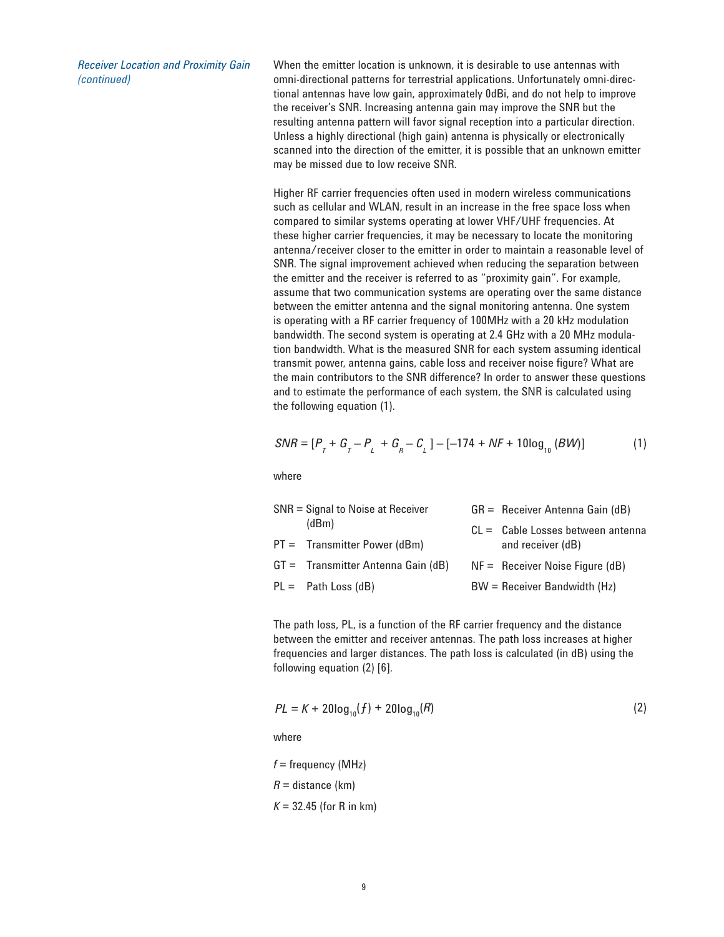*Receiver Location and Proximity Gain (continued)*

When the emitter location is unknown, it is desirable to use antennas with omni-directional patterns for terrestrial applications. Unfortunately omni-directional antennas have low gain, approximately 0dBi, and do not help to improve the receiver's SNR. Increasing antenna gain may improve the SNR but the resulting antenna pattern will favor signal reception into a particular direction. Unless a highly directional (high gain) antenna is physically or electronically scanned into the direction of the emitter, it is possible that an unknown emitter may be missed due to low receive SNR.

Higher RF carrier frequencies often used in modern wireless communications such as cellular and WLAN, result in an increase in the free space loss when compared to similar systems operating at lower VHF/UHF frequencies. At these higher carrier frequencies, it may be necessary to locate the monitoring antenna/receiver closer to the emitter in order to maintain a reasonable level of SNR. The signal improvement achieved when reducing the separation between the emitter and the receiver is referred to as "proximity gain". For example, assume that two communication systems are operating over the same distance between the emitter antenna and the signal monitoring antenna. One system is operating with a RF carrier frequency of 100MHz with a 20 kHz modulation bandwidth. The second system is operating at 2.4 GHz with a 20 MHz modulation bandwidth. What is the measured SNR for each system assuming identical transmit power, antenna gains, cable loss and receiver noise figure? What are the main contributors to the SNR difference? In order to answer these questions and to estimate the performance of each system, the SNR is calculated using the following equation (1).

$$
SNR = [P_{T} + G_{T} - P_{L} + G_{R} - C_{L}] - [-174 + NF + 10\log_{10}(BW)]
$$
 (1)

where

| $SNR = Signal$ to Noise at Receiver |                                                                                                          | $GR =$ Receiver Antenna Gain (dB)   |
|-------------------------------------|----------------------------------------------------------------------------------------------------------|-------------------------------------|
|                                     |                                                                                                          | $CL =$ Cable Losses between antenna |
|                                     |                                                                                                          | and receiver (dB)                   |
|                                     |                                                                                                          | $NF =$ Receiver Noise Figure (dB)   |
|                                     |                                                                                                          | $BW =$ Receiver Bandwidth (Hz)      |
|                                     | (dBm)<br>$PT =$ Transmitter Power (dBm)<br>$GT =$ Transmitter Antenna Gain (dB)<br>$PL =$ Path Loss (dB) |                                     |

The path loss, PL, is a function of the RF carrier frequency and the distance between the emitter and receiver antennas. The path loss increases at higher frequencies and larger distances. The path loss is calculated (in dB) using the following equation (2) [6].

$$
PL = K + 20\log_{10}(f) + 20\log_{10}(R)
$$
 (2)

where

*f* = frequency (MHz)

 $R =$  distance (km)

 $K = 32.45$  (for R in km)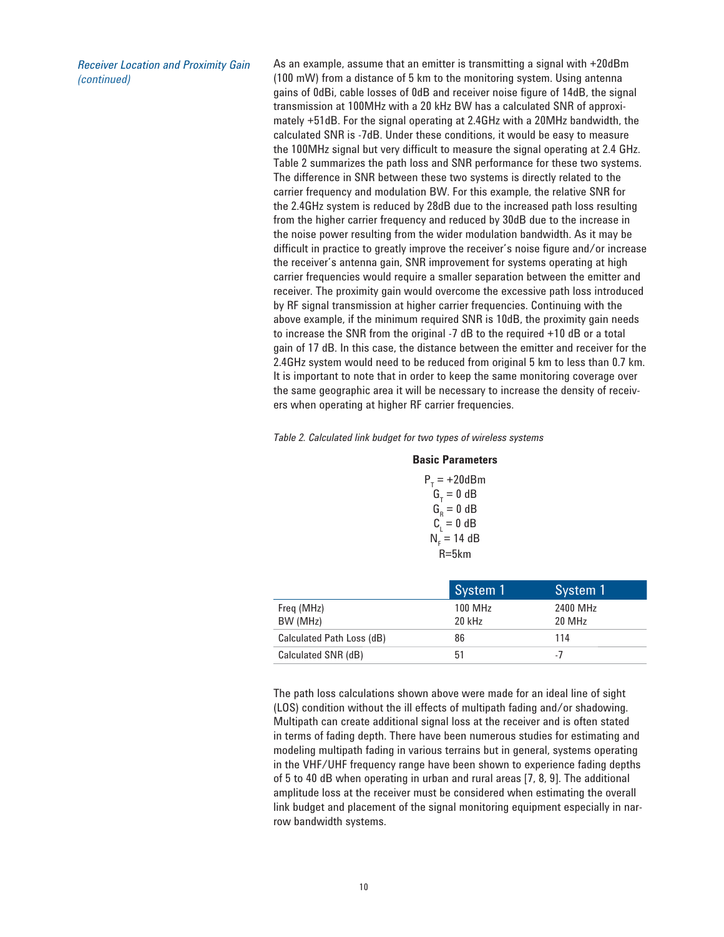*Receiver Location and Proximity Gain (continued)*

As an example, assume that an emitter is transmitting a signal with +20dBm (100 mW) from a distance of 5 km to the monitoring system. Using antenna gains of 0dBi, cable losses of 0dB and receiver noise figure of 14dB, the signal transmission at 100MHz with a 20 kHz BW has a calculated SNR of approximately +51dB. For the signal operating at 2.4GHz with a 20MHz bandwidth, the calculated SNR is -7dB. Under these conditions, it would be easy to measure the 100MHz signal but very difficult to measure the signal operating at 2.4 GHz. Table 2 summarizes the path loss and SNR performance for these two systems. The difference in SNR between these two systems is directly related to the carrier frequency and modulation BW. For this example, the relative SNR for the 2.4GHz system is reduced by 28dB due to the increased path loss resulting from the higher carrier frequency and reduced by 30dB due to the increase in the noise power resulting from the wider modulation bandwidth. As it may be difficult in practice to greatly improve the receiver's noise figure and/or increase the receiver's antenna gain, SNR improvement for systems operating at high carrier frequencies would require a smaller separation between the emitter and receiver. The proximity gain would overcome the excessive path loss introduced by RF signal transmission at higher carrier frequencies. Continuing with the above example, if the minimum required SNR is 10dB, the proximity gain needs to increase the SNR from the original -7 dB to the required +10 dB or a total gain of 17 dB. In this case, the distance between the emitter and receiver for the 2.4GHz system would need to be reduced from original 5 km to less than 0.7 km. It is important to note that in order to keep the same monitoring coverage over the same geographic area it will be necessary to increase the density of receivers when operating at higher RF carrier frequencies.

*Table 2. Calculated link budget for two types of wireless systems*

#### **Basic Parameters**

| $P_T = +20dBm$     |  |
|--------------------|--|
| $GT = 0 dB$        |  |
| $G_{\rm R} = 0$ dB |  |
| $C_i = 0$ dB       |  |
| $Nr = 14 dB$       |  |
| R=5km              |  |

|                           | System 1            | System 1                       |
|---------------------------|---------------------|--------------------------------|
| Freq (MHz)<br>BW (MHz)    | 100 MHz<br>$20$ kHz | 2400 MHz<br>20 MH <sub>z</sub> |
| Calculated Path Loss (dB) | 86                  | 114                            |
| Calculated SNR (dB)       | 51                  | - 1                            |

The path loss calculations shown above were made for an ideal line of sight (LOS) condition without the ill effects of multipath fading and/or shadowing. Multipath can create additional signal loss at the receiver and is often stated in terms of fading depth. There have been numerous studies for estimating and modeling multipath fading in various terrains but in general, systems operating in the VHF/UHF frequency range have been shown to experience fading depths of 5 to 40 dB when operating in urban and rural areas [7, 8, 9]. The additional amplitude loss at the receiver must be considered when estimating the overall link budget and placement of the signal monitoring equipment especially in narrow bandwidth systems.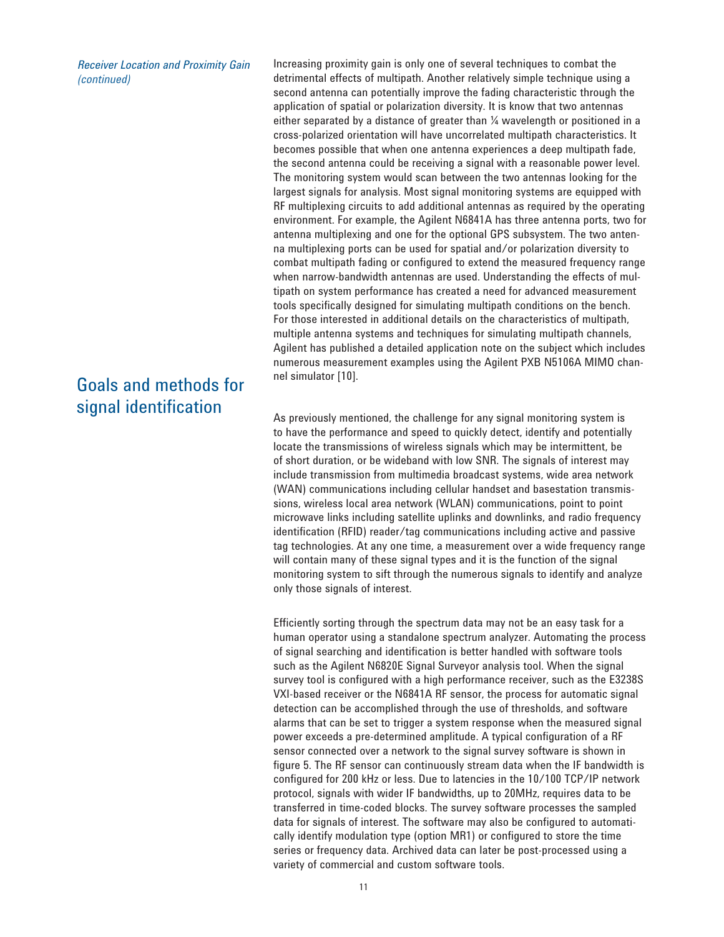*Receiver Location and Proximity Gain (continued)*

# Goals and methods for signal identification

Increasing proximity gain is only one of several techniques to combat the detrimental effects of multipath. Another relatively simple technique using a second antenna can potentially improve the fading characteristic through the application of spatial or polarization diversity. It is know that two antennas either separated by a distance of greater than  $\frac{1}{4}$  wavelength or positioned in a cross-polarized orientation will have uncorrelated multipath characteristics. It becomes possible that when one antenna experiences a deep multipath fade, the second antenna could be receiving a signal with a reasonable power level. The monitoring system would scan between the two antennas looking for the largest signals for analysis. Most signal monitoring systems are equipped with RF multiplexing circuits to add additional antennas as required by the operating environment. For example, the Agilent N6841A has three antenna ports, two for antenna multiplexing and one for the optional GPS subsystem. The two antenna multiplexing ports can be used for spatial and/or polarization diversity to combat multipath fading or configured to extend the measured frequency range when narrow-bandwidth antennas are used. Understanding the effects of multipath on system performance has created a need for advanced measurement tools specifically designed for simulating multipath conditions on the bench. For those interested in additional details on the characteristics of multipath, multiple antenna systems and techniques for simulating multipath channels, Agilent has published a detailed application note on the subject which includes numerous measurement examples using the Agilent PXB N5106A MIMO channel simulator [10].

As previously mentioned, the challenge for any signal monitoring system is to have the performance and speed to quickly detect, identify and potentially locate the transmissions of wireless signals which may be intermittent, be of short duration, or be wideband with low SNR. The signals of interest may include transmission from multimedia broadcast systems, wide area network (WAN) communications including cellular handset and basestation transmissions, wireless local area network (WLAN) communications, point to point microwave links including satellite uplinks and downlinks, and radio frequency identification (RFID) reader/tag communications including active and passive tag technologies. At any one time, a measurement over a wide frequency range will contain many of these signal types and it is the function of the signal monitoring system to sift through the numerous signals to identify and analyze only those signals of interest.

Efficiently sorting through the spectrum data may not be an easy task for a human operator using a standalone spectrum analyzer. Automating the process of signal searching and identification is better handled with software tools such as the Agilent N6820E Signal Surveyor analysis tool. When the signal survey tool is configured with a high performance receiver, such as the E3238S VXI-based receiver or the N6841A RF sensor, the process for automatic signal detection can be accomplished through the use of thresholds, and software alarms that can be set to trigger a system response when the measured signal power exceeds a pre-determined amplitude. A typical configuration of a RF sensor connected over a network to the signal survey software is shown in figure 5. The RF sensor can continuously stream data when the IF bandwidth is configured for 200 kHz or less. Due to latencies in the 10/100 TCP/IP network protocol, signals with wider IF bandwidths, up to 20MHz, requires data to be transferred in time-coded blocks. The survey software processes the sampled data for signals of interest. The software may also be configured to automatically identify modulation type (option MR1) or configured to store the time series or frequency data. Archived data can later be post-processed using a variety of commercial and custom software tools.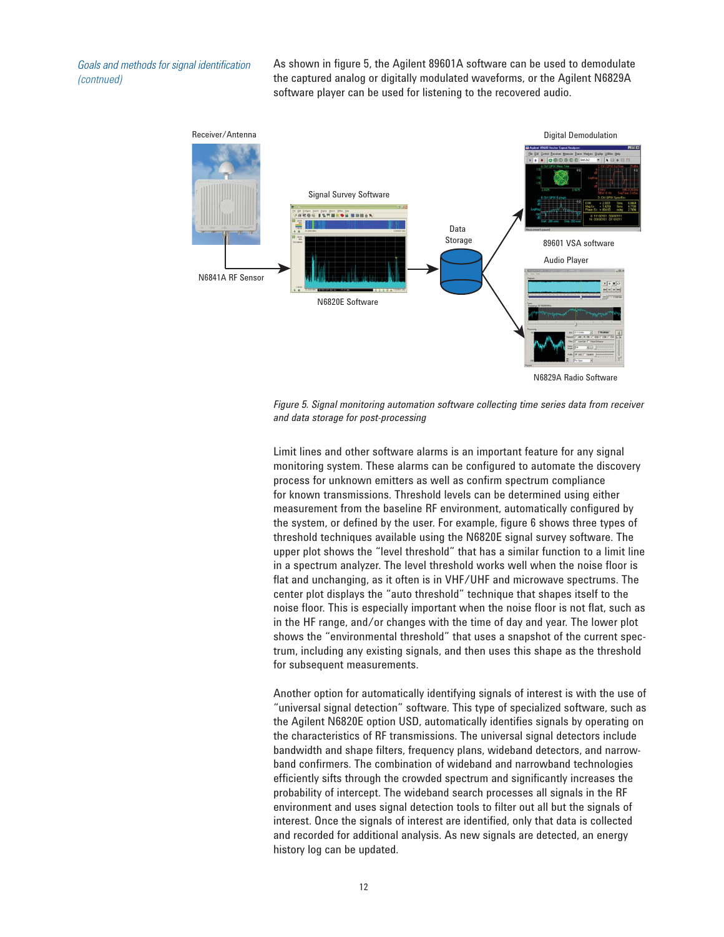*Goals and methods for signal identification (contnued)*

As shown in figure 5, the Agilent 89601A software can be used to demodulate the captured analog or digitally modulated waveforms, or the Agilent N6829A software player can be used for listening to the recovered audio.



*Figure 5. Signal monitoring automation software collecting time series data from receiver and data storage for post-processing*

Limit lines and other software alarms is an important feature for any signal monitoring system. These alarms can be configured to automate the discovery process for unknown emitters as well as confirm spectrum compliance for known transmissions. Threshold levels can be determined using either measurement from the baseline RF environment, automatically configured by the system, or defined by the user. For example, figure 6 shows three types of threshold techniques available using the N6820E signal survey software. The upper plot shows the "level threshold" that has a similar function to a limit line in a spectrum analyzer. The level threshold works well when the noise floor is flat and unchanging, as it often is in VHF/UHF and microwave spectrums. The center plot displays the "auto threshold" technique that shapes itself to the noise floor. This is especially important when the noise floor is not flat, such as in the HF range, and/or changes with the time of day and year. The lower plot shows the "environmental threshold" that uses a snapshot of the current spectrum, including any existing signals, and then uses this shape as the threshold for subsequent measurements.

Another option for automatically identifying signals of interest is with the use of "universal signal detection" software. This type of specialized software, such as the Agilent N6820E option USD, automatically identifies signals by operating on the characteristics of RF transmissions. The universal signal detectors include bandwidth and shape filters, frequency plans, wideband detectors, and narrowband confirmers. The combination of wideband and narrowband technologies efficiently sifts through the crowded spectrum and significantly increases the probability of intercept. The wideband search processes all signals in the RF environment and uses signal detection tools to filter out all but the signals of interest. Once the signals of interest are identified, only that data is collected and recorded for additional analysis. As new signals are detected, an energy history log can be updated.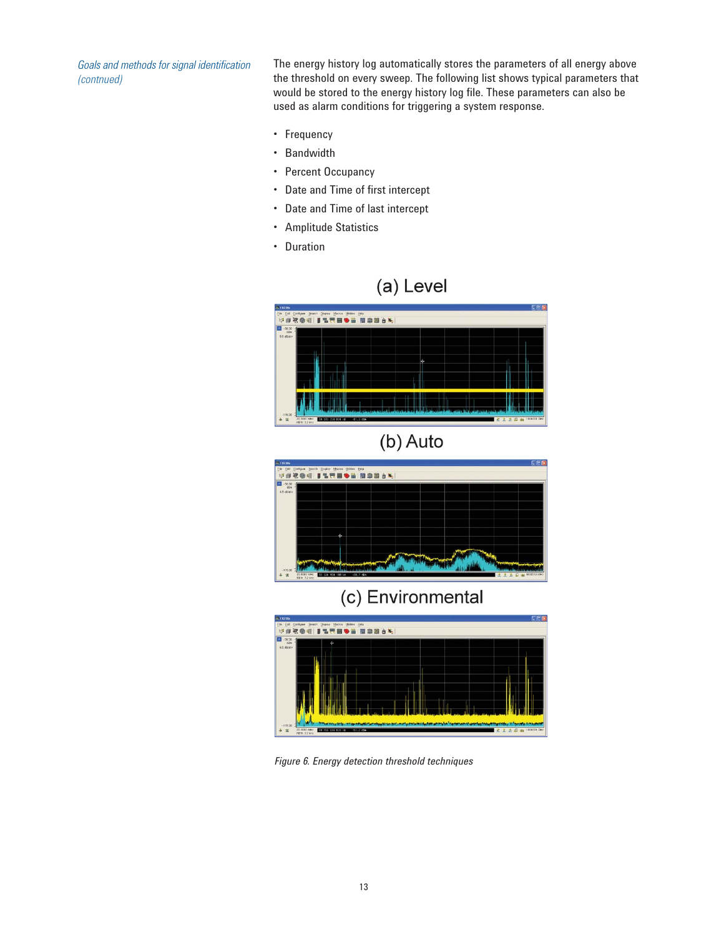*Goals and methods for signal identification (contnued)*

The energy history log automatically stores the parameters of all energy above the threshold on every sweep. The following list shows typical parameters that would be stored to the energy history log file. These parameters can also be used as alarm conditions for triggering a system response.

- Frequency
- Bandwidth
- Percent Occupancy
- Date and Time of first intercept
- Date and Time of last intercept
- Amplitude Statistics
- Duration











*Figure 6. Energy detection threshold techniques*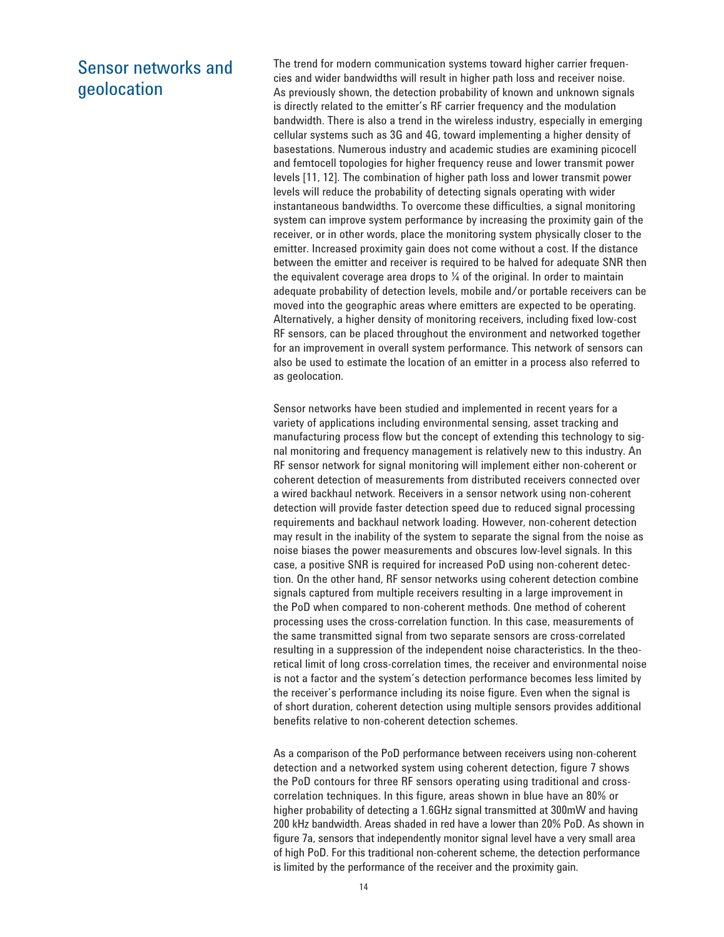# Sensor networks and geolocation

The trend for modern communication systems toward higher carrier frequencies and wider bandwidths will result in higher path loss and receiver noise. As previously shown, the detection probability of known and unknown signals is directly related to the emitter's RF carrier frequency and the modulation bandwidth. There is also a trend in the wireless industry, especially in emerging cellular systems such as 3G and 4G, toward implementing a higher density of basestations. Numerous industry and academic studies are examining picocell and femtocell topologies for higher frequency reuse and lower transmit power levels [11, 12]. The combination of higher path loss and lower transmit power levels will reduce the probability of detecting signals operating with wider instantaneous bandwidths. To overcome these difficulties, a signal monitoring system can improve system performance by increasing the proximity gain of the receiver, or in other words, place the monitoring system physically closer to the emitter. Increased proximity gain does not come without a cost. If the distance between the emitter and receiver is required to be halved for adequate SNR then the equivalent coverage area drops to  $\frac{1}{4}$  of the original. In order to maintain adequate probability of detection levels, mobile and/or portable receivers can be moved into the geographic areas where emitters are expected to be operating. Alternatively, a higher density of monitoring receivers, including fixed low-cost RF sensors, can be placed throughout the environment and networked together for an improvement in overall system performance. This network of sensors can also be used to estimate the location of an emitter in a process also referred to as geolocation.

Sensor networks have been studied and implemented in recent years for a variety of applications including environmental sensing, asset tracking and manufacturing process flow but the concept of extending this technology to signal monitoring and frequency management is relatively new to this industry. An RF sensor network for signal monitoring will implement either non-coherent or coherent detection of measurements from distributed receivers connected over a wired backhaul network. Receivers in a sensor network using non-coherent detection will provide faster detection speed due to reduced signal processing requirements and backhaul network loading. However, non-coherent detection may result in the inability of the system to separate the signal from the noise as noise biases the power measurements and obscures low-level signals. In this case, a positive SNR is required for increased PoD using non-coherent detection. On the other hand, RF sensor networks using coherent detection combine signals captured from multiple receivers resulting in a large improvement in the PoD when compared to non-coherent methods. One method of coherent processing uses the cross-correlation function. In this case, measurements of the same transmitted signal from two separate sensors are cross-correlated resulting in a suppression of the independent noise characteristics. In the theoretical limit of long cross-correlation times, the receiver and environmental noise is not a factor and the system's detection performance becomes less limited by the receiver's performance including its noise figure. Even when the signal is of short duration, coherent detection using multiple sensors provides additional benefits relative to non-coherent detection schemes.

As a comparison of the PoD performance between receivers using non-coherent detection and a networked system using coherent detection, figure 7 shows the PoD contours for three RF sensors operating using traditional and crosscorrelation techniques. In this figure, areas shown in blue have an 80% or higher probability of detecting a 1.6GHz signal transmitted at 300mW and having 200 kHz bandwidth. Areas shaded in red have a lower than 20% PoD. As shown in figure 7a, sensors that independently monitor signal level have a very small area of high PoD. For this traditional non-coherent scheme, the detection performance is limited by the performance of the receiver and the proximity gain.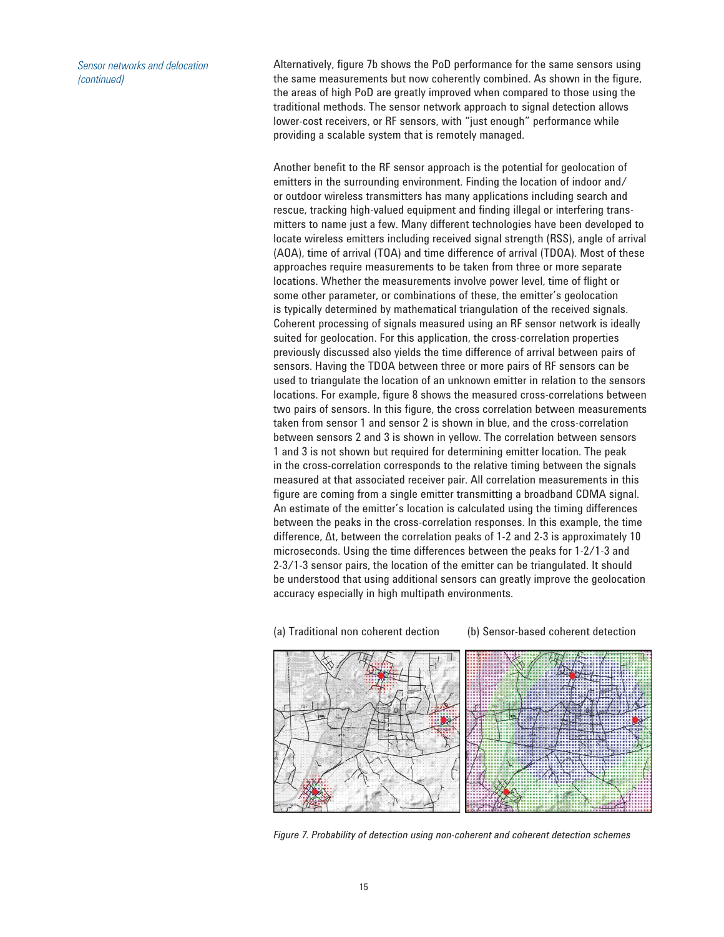*Sensor networks and delocation (continued)*

Alternatively, figure 7b shows the PoD performance for the same sensors using the same measurements but now coherently combined. As shown in the figure, the areas of high PoD are greatly improved when compared to those using the traditional methods. The sensor network approach to signal detection allows lower-cost receivers, or RF sensors, with "just enough" performance while providing a scalable system that is remotely managed.

Another benefit to the RF sensor approach is the potential for geolocation of emitters in the surrounding environment. Finding the location of indoor and/ or outdoor wireless transmitters has many applications including search and rescue, tracking high-valued equipment and finding illegal or interfering transmitters to name just a few. Many different technologies have been developed to locate wireless emitters including received signal strength (RSS), angle of arrival (AOA), time of arrival (TOA) and time difference of arrival (TDOA). Most of these approaches require measurements to be taken from three or more separate locations. Whether the measurements involve power level, time of flight or some other parameter, or combinations of these, the emitter's geolocation is typically determined by mathematical triangulation of the received signals. Coherent processing of signals measured using an RF sensor network is ideally suited for geolocation. For this application, the cross-correlation properties previously discussed also yields the time difference of arrival between pairs of sensors. Having the TDOA between three or more pairs of RF sensors can be used to triangulate the location of an unknown emitter in relation to the sensors locations. For example, figure 8 shows the measured cross-correlations between two pairs of sensors. In this figure, the cross correlation between measurements taken from sensor 1 and sensor 2 is shown in blue, and the cross-correlation between sensors 2 and 3 is shown in yellow. The correlation between sensors 1 and 3 is not shown but required for determining emitter location. The peak in the cross-correlation corresponds to the relative timing between the signals measured at that associated receiver pair. All correlation measurements in this figure are coming from a single emitter transmitting a broadband CDMA signal. An estimate of the emitter's location is calculated using the timing differences between the peaks in the cross-correlation responses. In this example, the time difference, ∆t, between the correlation peaks of 1-2 and 2-3 is approximately 10 microseconds. Using the time differences between the peaks for 1-2/1-3 and 2-3/1-3 sensor pairs, the location of the emitter can be triangulated. It should be understood that using additional sensors can greatly improve the geolocation accuracy especially in high multipath environments.

(a) Traditional non coherent dection (b) Sensor-based coherent detection

*Figure 7. Probability of detection using non-coherent and coherent detection schemes*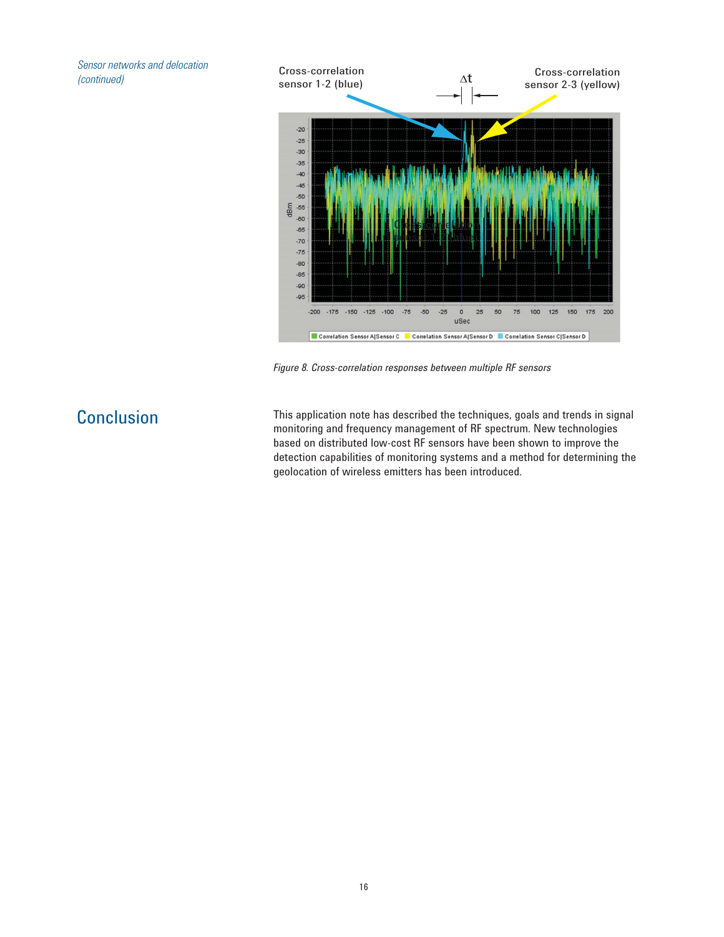*Sensor networks and delocation (continued)*



*Figure 8. Cross-correlation responses between multiple RF sensors*

Conclusion This application note has described the techniques, goals and trends in signal monitoring and frequency management of RF spectrum. New technologies based on distributed low-cost RF sensors have been shown to improve the detection capabilities of monitoring systems and a method for determining the geolocation of wireless emitters has been introduced.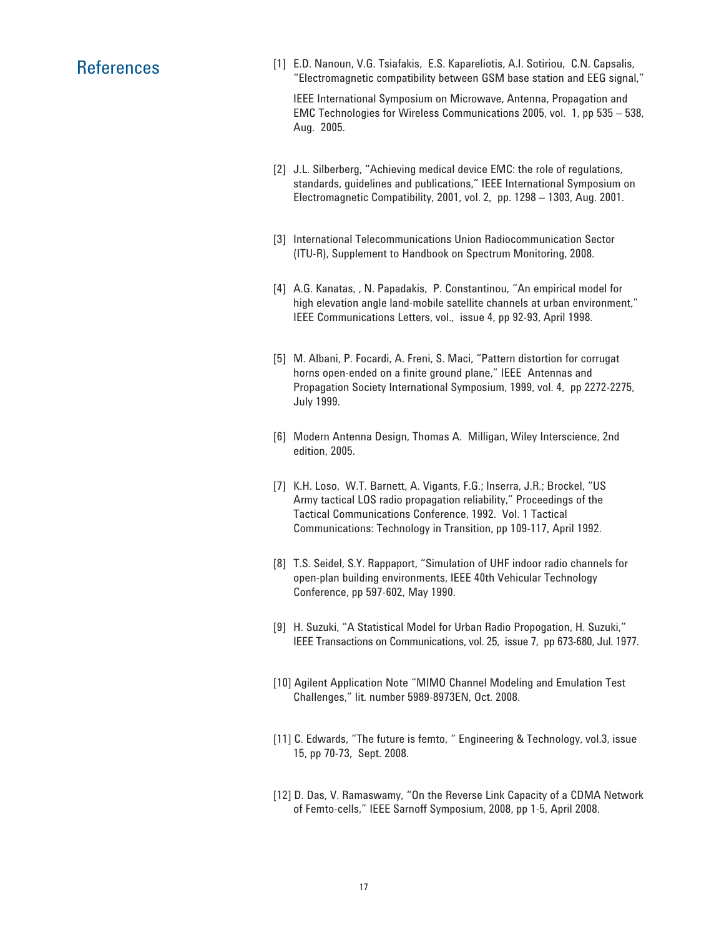References [1] E.D. Nanoun, V.G. Tsiafakis, E.S. Kapareliotis, A.I. Sotiriou, C.N. Capsalis, "Electromagnetic compatibility between GSM base station and EEG signal,"

> IEEE International Symposium on Microwave, Antenna, Propagation and EMC Technologies for Wireless Communications 2005, vol. 1, pp 535 – 538, Aug. 2005.

- [2] J.L. Silberberg, "Achieving medical device EMC: the role of regulations, standards, guidelines and publications," IEEE International Symposium on Electromagnetic Compatibility, 2001, vol. 2, pp. 1298 – 1303, Aug. 2001.
- [3] International Telecommunications Union Radiocommunication Sector (ITU-R), Supplement to Handbook on Spectrum Monitoring, 2008.
- [4] A.G. Kanatas, , N. Papadakis, P. Constantinou, "An empirical model for high elevation angle land-mobile satellite channels at urban environment," IEEE Communications Letters, vol., issue 4, pp 92-93, April 1998.
- [5] M. Albani, P. Focardi, A. Freni, S. Maci, "Pattern distortion for corrugat horns open-ended on a finite ground plane," IEEE Antennas and Propagation Society International Symposium, 1999, vol. 4, pp 2272-2275, July 1999.
- [6] Modern Antenna Design, Thomas A. Milligan, Wiley Interscience, 2nd edition, 2005.
- [7] K.H. Loso, W.T. Barnett, A. Vigants, F.G.; Inserra, J.R.; Brockel, "US Army tactical LOS radio propagation reliability," Proceedings of the Tactical Communications Conference, 1992. Vol. 1 Tactical Communications: Technology in Transition, pp 109-117, April 1992.
- [8] T.S. Seidel, S.Y. Rappaport, "Simulation of UHF indoor radio channels for open-plan building environments, IEEE 40th Vehicular Technology Conference, pp 597-602, May 1990.
- [9] H. Suzuki, "A Statistical Model for Urban Radio Propogation, H. Suzuki," IEEE Transactions on Communications, vol. 25, issue 7, pp 673-680, Jul. 1977.
- [10] Agilent Application Note "MIMO Channel Modeling and Emulation Test Challenges," lit. number 5989-8973EN, Oct. 2008.
- [11] C. Edwards, "The future is femto, " Engineering & Technology, vol.3, issue 15, pp 70-73, Sept. 2008.
- [12] D. Das, V. Ramaswamy, "On the Reverse Link Capacity of a CDMA Network of Femto-cells," IEEE Sarnoff Symposium, 2008, pp 1-5, April 2008.